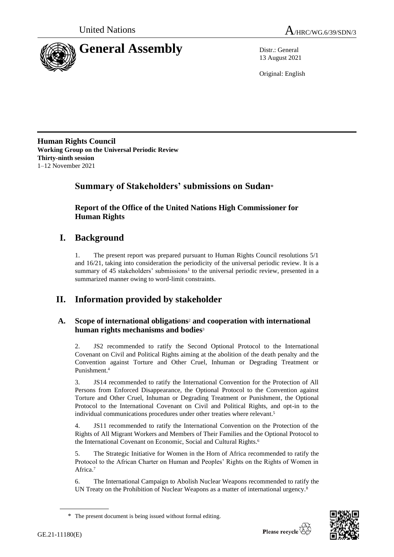



13 August 2021

Original: English

**Human Rights Council Working Group on the Universal Periodic Review Thirty-ninth session** 1–12 November 2021

## **Summary of Stakeholders' submissions on Sudan**\*

**Report of the Office of the United Nations High Commissioner for Human Rights**

## **I. Background**

1. The present report was prepared pursuant to Human Rights Council resolutions 5/1 and 16/21, taking into consideration the periodicity of the universal periodic review. It is a summary of 45 stakeholders' submissions<sup>1</sup> to the universal periodic review, presented in a summarized manner owing to word-limit constraints.

# **II. Information provided by stakeholder**

## **A. Scope of international obligations**<sup>2</sup> **and cooperation with international human rights mechanisms and bodies**<sup>3</sup>

2. JS2 recommended to ratify the Second Optional Protocol to the International Covenant on Civil and Political Rights aiming at the abolition of the death penalty and the Convention against Torture and Other Cruel, Inhuman or Degrading Treatment or Punishment. 4

3. JS14 recommended to ratify the International Convention for the Protection of All Persons from Enforced Disappearance, the Optional Protocol to the Convention against Torture and Other Cruel, Inhuman or Degrading Treatment or Punishment, the Optional Protocol to the International Covenant on Civil and Political Rights, and opt-in to the individual communications procedures under other treaties where relevant.<sup>5</sup>

4. JS11 recommended to ratify the International Convention on the Protection of the Rights of All Migrant Workers and Members of Their Families and the Optional Protocol to the International Covenant on Economic, Social and Cultural Rights. 6

5. The Strategic Initiative for Women in the Horn of Africa recommended to ratify the Protocol to the African Charter on Human and Peoples' Rights on the Rights of Women in Africa.<sup>7</sup>

6. The International Campaign to Abolish Nuclear Weapons recommended to ratify the UN Treaty on the Prohibition of Nuclear Weapons as a matter of international urgency.<sup>8</sup>



<sup>\*</sup> The present document is being issued without formal editing.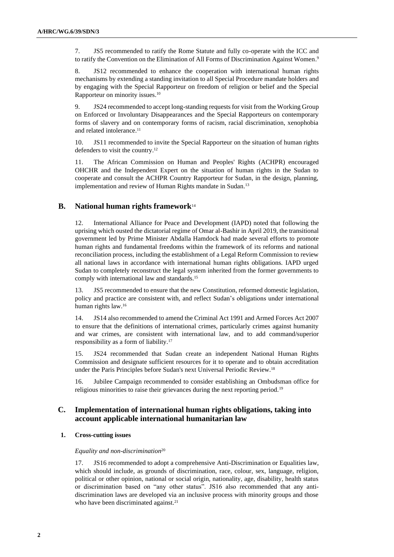7. JS5 recommended to ratify the Rome Statute and fully co-operate with the ICC and to ratify the Convention on the Elimination of All Forms of Discrimination Against Women. 9

8. JS12 recommended to enhance the cooperation with international human rights mechanisms by extending a standing invitation to all Special Procedure mandate holders and by engaging with the Special Rapporteur on freedom of religion or belief and the Special Rapporteur on minority issues. 10

9. JS24 recommended to accept long-standing requests for visit from the Working Group on Enforced or Involuntary Disappearances and the Special Rapporteurs on contemporary forms of slavery and on contemporary forms of racism, racial discrimination, xenophobia and related intolerance.<sup>11</sup>

10. JS11 recommended to invite the Special Rapporteur on the situation of human rights defenders to visit the country.<sup>12</sup>

11. The African Commission on Human and Peoples' Rights (ACHPR) encouraged OHCHR and the Independent Expert on the situation of human rights in the Sudan to cooperate and consult the ACHPR Country Rapporteur for Sudan, in the design, planning, implementation and review of Human Rights mandate in Sudan.<sup>13</sup>

## **B. National human rights framework**<sup>14</sup>

12. International Alliance for Peace and Development (IAPD) noted that following the uprising which ousted the dictatorial regime of Omar al-Bashir in April 2019, the transitional government led by Prime Minister Abdalla Hamdock had made several efforts to promote human rights and fundamental freedoms within the framework of its reforms and national reconciliation process, including the establishment of a Legal Reform Commission to review all national laws in accordance with international human rights obligations. IAPD urged Sudan to completely reconstruct the legal system inherited from the former governments to comply with international law and standards. 15

13. JS5 recommended to ensure that the new Constitution, reformed domestic legislation, policy and practice are consistent with, and reflect Sudan's obligations under international human rights law. 16

14. JS14 also recommended to amend the Criminal Act 1991 and Armed Forces Act 2007 to ensure that the definitions of international crimes, particularly crimes against humanity and war crimes, are consistent with international law, and to add command/superior responsibility as a form of liability.<sup>17</sup>

15. JS24 recommended that Sudan create an independent National Human Rights Commission and designate sufficient resources for it to operate and to obtain accreditation under the Paris Principles before Sudan's next Universal Periodic Review.<sup>18</sup>

16. Jubilee Campaign recommended to consider establishing an Ombudsman office for religious minorities to raise their grievances during the next reporting period.<sup>19</sup>

## **C. Implementation of international human rights obligations, taking into account applicable international humanitarian law**

#### **1. Cross-cutting issues**

#### *Equality and non-discrimination*<sup>20</sup>

17. JS16 recommended to adopt a comprehensive Anti-Discrimination or Equalities law, which should include, as grounds of discrimination, race, colour, sex, language, religion, political or other opinion, national or social origin, nationality, age, disability, health status or discrimination based on "any other status". JS16 also recommended that any antidiscrimination laws are developed via an inclusive process with minority groups and those who have been discriminated against.<sup>21</sup>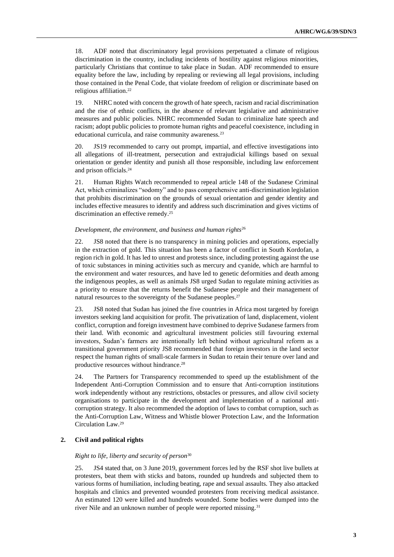18. ADF noted that discriminatory legal provisions perpetuated a climate of religious discrimination in the country, including incidents of hostility against religious minorities, particularly Christians that continue to take place in Sudan. ADF recommended to ensure equality before the law, including by repealing or reviewing all legal provisions, including those contained in the Penal Code, that violate freedom of religion or discriminate based on religious affiliation. 22

19. NHRC noted with concern the growth of hate speech, racism and racial discrimination and the rise of ethnic conflicts, in the absence of relevant legislative and administrative measures and public policies. NHRC recommended Sudan to criminalize hate speech and racism; adopt public policies to promote human rights and peaceful coexistence, including in educational curricula, and raise community awareness.<sup>23</sup>

20. JS19 recommended to carry out prompt, impartial, and effective investigations into all allegations of ill-treatment, persecution and extrajudicial killings based on sexual orientation or gender identity and punish all those responsible, including law enforcement and prison officials.<sup>24</sup>

21. Human Rights Watch recommended to repeal article 148 of the Sudanese Criminal Act, which criminalizes "sodomy" and to pass comprehensive anti-discrimination legislation that prohibits discrimination on the grounds of sexual orientation and gender identity and includes effective measures to identify and address such discrimination and gives victims of discrimination an effective remedy.<sup>25</sup>

#### *Development, the environment, and business and human rights*<sup>26</sup>

22. JS8 noted that there is no transparency in mining policies and operations, especially in the extraction of gold. This situation has been a factor of conflict in South Kordofan, a region rich in gold. It has led to unrest and protests since, including protesting against the use of toxic substances in mining activities such as mercury and cyanide, which are harmful to the environment and water resources, and have led to genetic deformities and death among the indigenous peoples, as well as animals JS8 urged Sudan to regulate mining activities as a priority to ensure that the returns benefit the Sudanese people and their management of natural resources to the sovereignty of the Sudanese peoples. 27

23. JS8 noted that Sudan has joined the five countries in Africa most targeted by foreign investors seeking land acquisition for profit. The privatization of land, displacement, violent conflict, corruption and foreign investment have combined to deprive Sudanese farmers from their land. With economic and agricultural investment policies still favouring external investors, Sudan's farmers are intentionally left behind without agricultural reform as a transitional government priority JS8 recommended that foreign investors in the land sector respect the human rights of small-scale farmers in Sudan to retain their tenure over land and productive resources without hindrance. 28

24. The Partners for Transparency recommended to speed up the establishment of the Independent Anti-Corruption Commission and to ensure that Anti-corruption institutions work independently without any restrictions, obstacles or pressures, and allow civil society organisations to participate in the development and implementation of a national anticorruption strategy. It also recommended the adoption of laws to combat corruption, such as the Anti-Corruption Law, Witness and Whistle blower Protection Law, and the Information Circulation Law.<sup>29</sup>

## **2. Civil and political rights**

#### *Right to life, liberty and security of person*<sup>30</sup>

25. JS4 stated that, on 3 June 2019, government forces led by the RSF shot live bullets at protesters, beat them with sticks and batons, rounded up hundreds and subjected them to various forms of humiliation, including beating, rape and sexual assaults. They also attacked hospitals and clinics and prevented wounded protesters from receiving medical assistance. An estimated 120 were killed and hundreds wounded. Some bodies were dumped into the river Nile and an unknown number of people were reported missing.<sup>31</sup>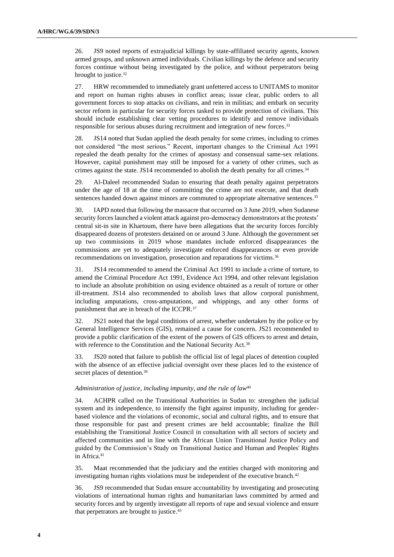26. JS9 noted reports of extrajudicial killings by state-affiliated security agents, known armed groups, and unknown armed individuals. Civilian killings by the defence and security forces continue without being investigated by the police, and without perpetrators being brought to justice.<sup>32</sup>

27. HRW recommended to immediately grant unfettered access to UNITAMS to monitor and report on human rights abuses in conflict areas; issue clear, public orders to all government forces to stop attacks on civilians, and rein in militias; and embark on security sector reform in particular for security forces tasked to provide protection of civilians. This should include establishing clear vetting procedures to identify and remove individuals responsible for serious abuses during recruitment and integration of new forces. 33

28. JS14 noted that Sudan applied the death penalty for some crimes, including to crimes not considered "the most serious." Recent, important changes to the Criminal Act 1991 repealed the death penalty for the crimes of apostasy and consensual same-sex relations. However, capital punishment may still be imposed for a variety of other crimes, such as crimes against the state. JS14 recommended to abolish the death penalty for all crimes.<sup>34</sup>

29. Al-Daleel recommended Sudan to ensuring that death penalty against perpetrators under the age of 18 at the time of committing the crime are not execute, and that death sentences handed down against minors are commuted to appropriate alternative sentences. 35

30. IAPD noted that following the massacre that occurred on 3 June 2019, when Sudanese security forces launched a violent attack against pro-democracy demonstrators at the protests' central sit-in site in Khartoum, there have been allegations that the security forces forcibly disappeared dozens of protesters detained on or around 3 June. Although the government set up two commissions in 2019 whose mandates include enforced disappearances the commissions are yet to adequately investigate enforced disappearances or even provide recommendations on investigation, prosecution and reparations for victims.<sup>36</sup>

31. JS14 recommended to amend the Criminal Act 1991 to include a crime of torture, to amend the Criminal Procedure Act 1991, Evidence Act 1994, and other relevant legislation to include an absolute prohibition on using evidence obtained as a result of torture or other ill-treatment. JS14 also recommended to abolish laws that allow corporal punishment, including amputations, cross-amputations, and whippings, and any other forms of punishment that are in breach of the ICCPR.<sup>37</sup>

32. JS21 noted that the legal conditions of arrest, whether undertaken by the police or by General Intelligence Services (GIS), remained a cause for concern. JS21 recommended to provide a public clarification of the extent of the powers of GIS officers to arrest and detain, with reference to the Constitution and the National Security Act.<sup>38</sup>

33. JS20 noted that failure to publish the official list of legal places of detention coupled with the absence of an effective judicial oversight over these places led to the existence of secret places of detention.<sup>39</sup>

#### *Administration of justice, including impunity, and the rule of law*<sup>40</sup>

34. ACHPR called on the Transitional Authorities in Sudan to: strengthen the judicial system and its independence, to intensify the fight against impunity, including for genderbased violence and the violations of economic, social and cultural rights, and to ensure that those responsible for past and present crimes are held accountable; finalize the Bill establishing the Transitional Justice Council in consultation with all sectors of society and affected communities and in line with the African Union Transitional Justice Policy and guided by the Commission's Study on Transitional Justice and Human and Peoples' Rights in Africa.<sup>41</sup>

35. Maat recommended that the judiciary and the entities charged with monitoring and investigating human rights violations must be independent of the executive branch.<sup>42</sup>

36. JS9 recommended that Sudan ensure accountability by investigating and prosecuting violations of international human rights and humanitarian laws committed by armed and security forces and by urgently investigate all reports of rape and sexual violence and ensure that perpetrators are brought to justice. 43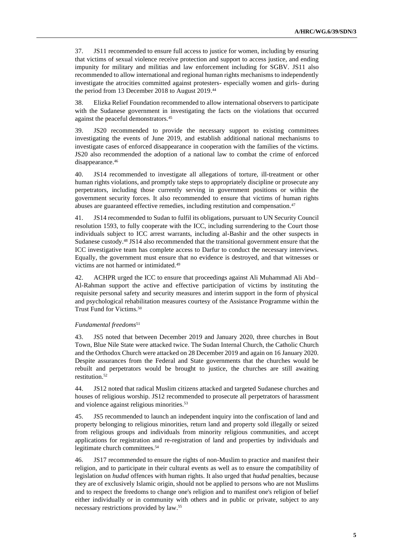37. JS11 recommended to ensure full access to justice for women, including by ensuring that victims of sexual violence receive protection and support to access justice, and ending impunity for military and militias and law enforcement including for SGBV. JS11 also recommended to allow international and regional human rights mechanisms to independently investigate the atrocities committed against protesters- especially women and girls- during the period from 13 December 2018 to August 2019. 44

38. Elizka Relief Foundation recommended to allow international observers to participate with the Sudanese government in investigating the facts on the violations that occurred against the peaceful demonstrators.<sup>45</sup>

39. JS20 recommended to provide the necessary support to existing committees investigating the events of June 2019, and establish additional national mechanisms to investigate cases of enforced disappearance in cooperation with the families of the victims. JS20 also recommended the adoption of a national law to combat the crime of enforced disappearance. 46

40. JS14 recommended to investigate all allegations of torture, ill-treatment or other human rights violations, and promptly take steps to appropriately discipline or prosecute any perpetrators, including those currently serving in government positions or within the government security forces. It also recommended to ensure that victims of human rights abuses are guaranteed effective remedies, including restitution and compensation.<sup>47</sup>

41. JS14 recommended to Sudan to fulfil its obligations, pursuant to UN Security Council resolution 1593, to fully cooperate with the ICC, including surrendering to the Court those individuals subject to ICC arrest warrants, including al-Bashir and the other suspects in Sudanese custody.<sup>48</sup> JS14 also recommended that the transitional government ensure that the ICC investigative team has complete access to Darfur to conduct the necessary interviews. Equally, the government must ensure that no evidence is destroyed, and that witnesses or victims are not harmed or intimidated.<sup>49</sup>

42. ACHPR urged the ICC to ensure that proceedings against Ali Muhammad Ali Abd– Al-Rahman support the active and effective participation of victims by instituting the requisite personal safety and security measures and interim support in the form of physical and psychological rehabilitation measures courtesy of the Assistance Programme within the Trust Fund for Victims.<sup>50</sup>

#### *Fundamental freedoms*<sup>51</sup>

43. JS5 noted that between December 2019 and January 2020, three churches in Bout Town, Blue Nile State were attacked twice. The Sudan Internal Church, the Catholic Church and the Orthodox Church were attacked on 28 December 2019 and again on 16 January 2020. Despite assurances from the Federal and State governments that the churches would be rebuilt and perpetrators would be brought to justice, the churches are still awaiting restitution. 52

44. JS12 noted that radical Muslim citizens attacked and targeted Sudanese churches and houses of religious worship. JS12 recommended to prosecute all perpetrators of harassment and violence against religious minorities. 53

45. JS5 recommended to launch an independent inquiry into the confiscation of land and property belonging to religious minorities, return land and property sold illegally or seized from religious groups and individuals from minority religious communities, and accept applications for registration and re-registration of land and properties by individuals and legitimate church committees. 54

46. JS17 recommended to ensure the rights of non-Muslim to practice and manifest their religion, and to participate in their cultural events as well as to ensure the compatibility of legislation on *hudud* offences with human rights. It also urged that *hudud* penalties, because they are of exclusively Islamic origin, should not be applied to persons who are not Muslims and to respect the freedoms to change one's religion and to manifest one's religion of belief either individually or in community with others and in public or private, subject to any necessary restrictions provided by law. 55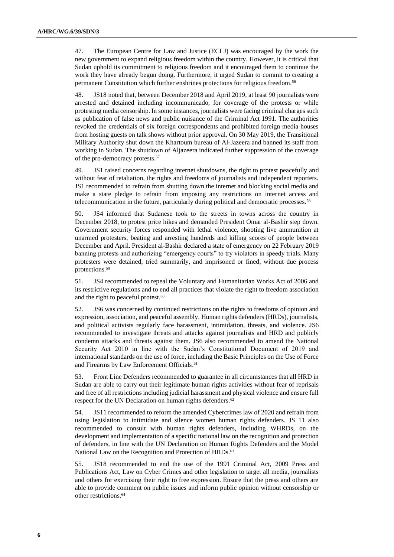47. The European Centre for Law and Justice (ECLJ) was encouraged by the work the new government to expand religious freedom within the country. However, it is critical that Sudan uphold its commitment to religious freedom and it encouraged them to continue the work they have already begun doing. Furthermore, it urged Sudan to commit to creating a permanent Constitution which further enshrines protections for religious freedom.<sup>56</sup>

48. JS18 noted that, between December 2018 and April 2019, at least 90 journalists were arrested and detained including incommunicado, for coverage of the protests or while protesting media censorship. In some instances, journalists were facing criminal charges such as publication of false news and public nuisance of the Criminal Act 1991. The authorities revoked the credentials of six foreign correspondents and prohibited foreign media houses from hosting guests on talk shows without prior approval. On 30 May 2019, the Transitional Military Authority shut down the Khartoum bureau of Al-Jazeera and banned its staff from working in Sudan. The shutdown of Aljazeera indicated further suppression of the coverage of the pro-democracy protests.<sup>57</sup>

49. JS1 raised concerns regarding internet shutdowns, the right to protest peacefully and without fear of retaliation, the rights and freedoms of journalists and independent reporters. JS1 recommended to refrain from shutting down the internet and blocking social media and make a state pledge to refrain from imposing any restrictions on internet access and telecommunication in the future, particularly during political and democratic processes.<sup>58</sup>

50. JS4 informed that Sudanese took to the streets in towns across the country in December 2018, to protest price hikes and demanded President Omar al-Bashir step down. Government security forces responded with lethal violence, shooting live ammunition at unarmed protesters, beating and arresting hundreds and killing scores of people between December and April. President al-Bashir declared a state of emergency on 22 February 2019 banning protests and authorizing "emergency courts" to try violators in speedy trials. Many protesters were detained, tried summarily, and imprisoned or fined, without due process protections.<sup>59</sup>

51. JS4 recommended to repeal the Voluntary and Humanitarian Works Act of 2006 and its restrictive regulations and to end all practices that violate the right to freedom association and the right to peaceful protest.<sup>60</sup>

52. JS6 was concerned by continued restrictions on the rights to freedoms of opinion and expression, association, and peaceful assembly. Human rights defenders (HRDs), journalists, and political activists regularly face harassment, intimidation, threats, and violence. JS6 recommended to investigate threats and attacks against journalists and HRD and publicly condemn attacks and threats against them. JS6 also recommended to amend the National Security Act 2010 in line with the Sudan's Constitutional Document of 2019 and international standards on the use of force, including the Basic Principles on the Use of Force and Firearms by Law Enforcement Officials. 61

53. Front Line Defenders recommended to guarantee in all circumstances that all HRD in Sudan are able to carry out their legitimate human rights activities without fear of reprisals and free of all restrictions including judicial harassment and physical violence and ensure full respect for the UN Declaration on human rights defenders*.* 62

54. JS11 recommended to reform the amended Cybercrimes law of 2020 and refrain from using legislation to intimidate and silence women human rights defenders. JS 11 also recommended to consult with human rights defenders, including WHRDs, on the development and implementation of a specific national law on the recognition and protection of defenders, in line with the UN Declaration on Human Rights Defenders and the Model National Law on the Recognition and Protection of HRDs.<sup>63</sup>

55. JS18 recommended to end the use of the 1991 Criminal Act, 2009 Press and Publications Act, Law on Cyber Crimes and other legislation to target all media, journalists and others for exercising their right to free expression. Ensure that the press and others are able to provide comment on public issues and inform public opinion without censorship or other restrictions.64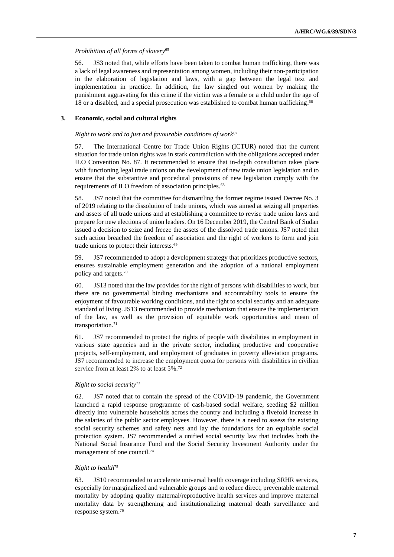#### *Prohibition of all forms of slavery*<sup>65</sup>

56. JS3 noted that, while efforts have been taken to combat human trafficking, there was a lack of legal awareness and representation among women, including their non-participation in the elaboration of legislation and laws, with a gap between the legal text and implementation in practice. In addition, the law singled out women by making the punishment aggravating for this crime if the victim was a female or a child under the age of 18 or a disabled, and a special prosecution was established to combat human trafficking. 66

#### **3. Economic, social and cultural rights**

#### *Right to work and to just and favourable conditions of work*<sup>67</sup>

57. The International Centre for Trade Union Rights (ICTUR) noted that the current situation for trade union rights was in stark contradiction with the obligations accepted under ILO Convention No. 87. It recommended to ensure that in-depth consultation takes place with functioning legal trade unions on the development of new trade union legislation and to ensure that the substantive and procedural provisions of new legislation comply with the requirements of ILO freedom of association principles.<sup>68</sup>

58. JS7 noted that the committee for dismantling the former regime issued Decree No. 3 of 2019 relating to the dissolution of trade unions, which was aimed at seizing all properties and assets of all trade unions and at establishing a committee to revise trade union laws and prepare for new elections of union leaders. On 16 December 2019, the Central Bank of Sudan issued a decision to seize and freeze the assets of the dissolved trade unions. JS7 noted that such action breached the freedom of association and the right of workers to form and join trade unions to protect their interests.<sup>69</sup>

59. JS7 recommended to adopt a development strategy that prioritizes productive sectors, ensures sustainable employment generation and the adoption of a national employment policy and targets.<sup>70</sup>

60. JS13 noted that the law provides for the right of persons with disabilities to work, but there are no governmental binding mechanisms and accountability tools to ensure the enjoyment of favourable working conditions, and the right to social security and an adequate standard of living. JS13 recommended to provide mechanism that ensure the implementation of the law, as well as the provision of equitable work opportunities and mean of transportation.<sup>71</sup>

61. JS7 recommended to protect the rights of people with disabilities in employment in various state agencies and in the private sector, including productive and cooperative projects, self-employment, and employment of graduates in poverty alleviation programs. JS7 recommended to increase the employment quota for persons with disabilities in civilian service from at least 2% to at least 5%.<sup>72</sup>

#### *Right to social security*<sup>73</sup>

62. JS7 noted that to contain the spread of the COVID-19 pandemic, the Government launched a rapid response programme of cash-based social welfare, seeding \$2 million directly into vulnerable households across the country and including a fivefold increase in the salaries of the public sector employees. However, there is a need to assess the existing social security schemes and safety nets and lay the foundations for an equitable social protection system. JS7 recommended a unified social security law that includes both the National Social Insurance Fund and the Social Security Investment Authority under the management of one council.<sup>74</sup>

### *Right to health*<sup>75</sup>

63. JS10 recommended to accelerate universal health coverage including SRHR services, especially for marginalized and vulnerable groups and to reduce direct, preventable maternal mortality by adopting quality maternal/reproductive health services and improve maternal mortality data by strengthening and institutionalizing maternal death surveillance and response system. 76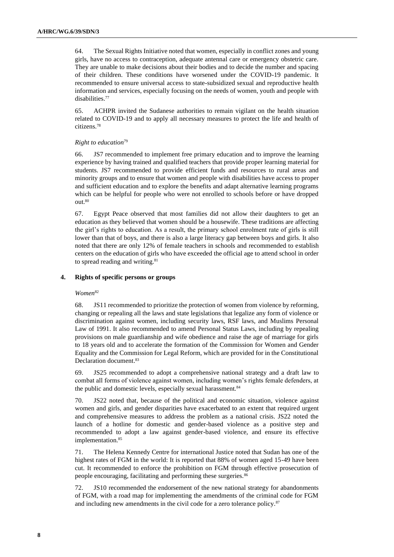64. The Sexual Rights Initiative noted that women, especially in conflict zones and young girls, have no access to contraception, adequate antennal care or emergency obstetric care. They are unable to make decisions about their bodies and to decide the number and spacing of their children. These conditions have worsened under the COVID-19 pandemic. It recommended to ensure universal access to state-subsidized sexual and reproductive health information and services, especially focusing on the needs of women, youth and people with disabilities.<sup>77</sup>

65. ACHPR invited the Sudanese authorities to remain vigilant on the health situation related to COVID-19 and to apply all necessary measures to protect the life and health of citizens.<sup>78</sup>

#### *Right to education*<sup>79</sup>

66. JS7 recommended to implement free primary education and to improve the learning experience by having trained and qualified teachers that provide proper learning material for students. JS7 recommended to provide efficient funds and resources to rural areas and minority groups and to ensure that women and people with disabilities have access to proper and sufficient education and to explore the benefits and adapt alternative learning programs which can be helpful for people who were not enrolled to schools before or have dropped out.<sup>80</sup>

67. Egypt Peace observed that most families did not allow their daughters to get an education as they believed that women should be a housewife. These traditions are affecting the girl's rights to education. As a result, the primary school enrolment rate of girls is still lower than that of boys, and there is also a large literacy gap between boys and girls. It also noted that there are only 12% of female teachers in schools and recommended to establish centers on the education of girls who have exceeded the official age to attend school in order to spread reading and writing.<sup>81</sup>

### **4. Rights of specific persons or groups**

#### *Women*<sup>82</sup>

68. JS11 recommended to prioritize the protection of women from violence by reforming, changing or repealing all the laws and state legislations that legalize any form of violence or discrimination against women, including security laws, RSF laws, and Muslims Personal Law of 1991. It also recommended to amend Personal Status Laws, including by repealing provisions on male guardianship and wife obedience and raise the age of marriage for girls to 18 years old and to accelerate the formation of the Commission for Women and Gender Equality and the Commission for Legal Reform, which are provided for in the Constitutional Declaration document. 83

69. JS25 recommended to adopt a comprehensive national strategy and a draft law to combat all forms of violence against women, including women's rights female defenders, at the public and domestic levels, especially sexual harassment.<sup>84</sup>

70. JS22 noted that, because of the political and economic situation, violence against women and girls, and gender disparities have exacerbated to an extent that required urgent and comprehensive measures to address the problem as a national crisis. JS22 noted the launch of a hotline for domestic and gender-based violence as a positive step and recommended to adopt a law against gender-based violence, and ensure its effective implementation.<sup>85</sup>

71. The Helena Kennedy Centre for international Justice noted that Sudan has one of the highest rates of FGM in the world: It is reported that 88% of women aged 15-49 have been cut. It recommended to enforce the prohibition on FGM through effective prosecution of people encouraging, facilitating and performing these surgeries.<sup>86</sup>

72. JS10 recommended the endorsement of the new national strategy for abandonments of FGM, with a road map for implementing the amendments of the criminal code for FGM and including new amendments in the civil code for a zero tolerance policy.<sup>87</sup>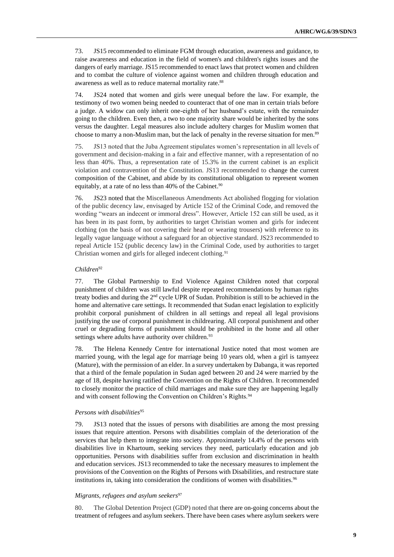73. JS15 recommended to eliminate FGM through education, awareness and guidance, to raise awareness and education in the field of women's and children's rights issues and the dangers of early marriage. JS15 recommended to enact laws that protect women and children and to combat the culture of violence against women and children through education and awareness as well as to reduce maternal mortality rate.<sup>88</sup>

74. JS24 noted that women and girls were unequal before the law. For example, the testimony of two women being needed to counteract that of one man in certain trials before a judge. A widow can only inherit one-eighth of her husband's estate, with the remainder going to the children. Even then, a two to one majority share would be inherited by the sons versus the daughter. Legal measures also include adultery charges for Muslim women that choose to marry a non-Muslim man, but the lack of penalty in the reverse situation for men.<sup>89</sup>

75. JS13 noted that the Juba Agreement stipulates women's representation in all levels of government and decision-making in a fair and effective manner, with a representation of no less than 40%. Thus, a representation rate of 15.3% in the current cabinet is an explicit violation and contravention of the Constitution. JS13 recommended to change the current composition of the Cabinet, and abide by its constitutional obligation to represent women equitably, at a rate of no less than 40% of the Cabinet.<sup>90</sup>

76. JS23 noted that the Miscellaneous Amendments Act abolished flogging for violation of the public decency law, envisaged by Article 152 of the Criminal Code, and removed the wording "wears an indecent or immoral dress". However, Article 152 can still be used, as it has been in its past form, by authorities to target Christian women and girls for indecent clothing (on the basis of not covering their head or wearing trousers) with reference to its legally vague language without a safeguard for an objective standard. JS23 recommended to repeal Article 152 (public decency law) in the Criminal Code, used by authorities to target Christian women and girls for alleged indecent clothing.<sup>91</sup>

#### *Children*<sup>92</sup>

77. The Global Partnership to End Violence Against Children noted that corporal punishment of children was still lawful despite repeated recommendations by human rights treaty bodies and during the 2nd cycle UPR of Sudan. Prohibition is still to be achieved in the home and alternative care settings. It recommended that Sudan enact legislation to explicitly prohibit corporal punishment of children in all settings and repeal all legal provisions justifying the use of corporal punishment in childrearing. All corporal punishment and other cruel or degrading forms of punishment should be prohibited in the home and all other settings where adults have authority over children.<sup>93</sup>

78. The Helena Kennedy Centre for international Justice noted that most women are married young, with the legal age for marriage being 10 years old, when a girl is tamyeez (Mature), with the permission of an elder. In a survey undertaken by Dabanga, it was reported that a third of the female population in Sudan aged between 20 and 24 were married by the age of 18, despite having ratified the Convention on the Rights of Children. It recommended to closely monitor the practice of child marriages and make sure they are happening legally and with consent following the Convention on Children's Rights.<sup>94</sup>

#### *Persons with disabilities*<sup>95</sup>

79. JS13 noted that the issues of persons with disabilities are among the most pressing issues that require attention. Persons with disabilities complain of the deterioration of the services that help them to integrate into society. Approximately 14.4% of the persons with disabilities live in Khartoum, seeking services they need, particularly education and job opportunities. Persons with disabilities suffer from exclusion and discrimination in health and education services. JS13 recommended to take the necessary measures to implement the provisions of the Convention on the Rights of Persons with Disabilities, and restructure state institutions in, taking into consideration the conditions of women with disabilities.<sup>96</sup>

#### *Migrants, refugees and asylum seekers*<sup>97</sup>

80. The Global Detention Project (GDP) noted that there are on-going concerns about the treatment of refugees and asylum seekers. There have been cases where asylum seekers were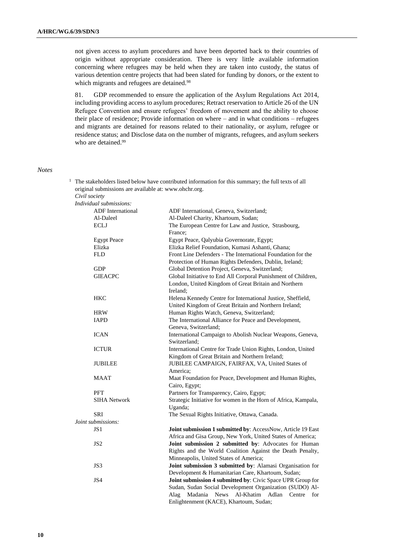not given access to asylum procedures and have been deported back to their countries of origin without appropriate consideration. There is very little available information concerning where refugees may be held when they are taken into custody, the status of various detention centre projects that had been slated for funding by donors, or the extent to which migrants and refugees are detained.<sup>98</sup>

81. GDP recommended to ensure the application of the Asylum Regulations Act 2014, including providing access to asylum procedures; Retract reservation to Article 26 of the UN Refugee Convention and ensure refugees' freedom of movement and the ability to choose their place of residence; Provide information on where – and in what conditions – refugees and migrants are detained for reasons related to their nationality, or asylum, refugee or residence status; and Disclose data on the number of migrants, refugees, and asylum seekers who are detained.<sup>99</sup>

 $1$  The stakeholders listed below have contributed information for this summary; the full texts of all

#### *Notes*

| original submissions are available at: www.ohchr.org. |                                                                                                                       |
|-------------------------------------------------------|-----------------------------------------------------------------------------------------------------------------------|
| Civil society<br>Individual submissions:              |                                                                                                                       |
| <b>ADF</b> International                              |                                                                                                                       |
|                                                       | ADF International, Geneva, Switzerland;                                                                               |
| Al-Daleel                                             | Al-Daleel Charity, Khartoum, Sudan;                                                                                   |
| <b>ECLJ</b>                                           | The European Centre for Law and Justice, Strasbourg,                                                                  |
|                                                       | France:                                                                                                               |
| <b>Egypt Peace</b>                                    | Egypt Peace, Qalyubia Governorate, Egypt;                                                                             |
| Elizka                                                | Elizka Relief Foundation, Kumasi Ashanti, Ghana;                                                                      |
| <b>FLD</b>                                            | Front Line Defenders - The International Foundation for the<br>Protection of Human Rights Defenders, Dublin, Ireland; |
| <b>GDP</b>                                            | Global Detention Project, Geneva, Switzerland;                                                                        |
| <b>GIEACPC</b>                                        | Global Initiative to End All Corporal Punishment of Children,                                                         |
|                                                       | London, United Kingdom of Great Britain and Northern                                                                  |
|                                                       | Ireland:                                                                                                              |
| <b>HKC</b>                                            | Helena Kennedy Centre for International Justice, Sheffield,                                                           |
|                                                       | United Kingdom of Great Britain and Northern Ireland;                                                                 |
| <b>HRW</b>                                            | Human Rights Watch, Geneva, Switzerland;                                                                              |
| IAPD                                                  | The International Alliance for Peace and Development,                                                                 |
|                                                       | Geneva, Switzerland;                                                                                                  |
| <b>ICAN</b>                                           | International Campaign to Abolish Nuclear Weapons, Geneva,<br>Switzerland;                                            |
| <b>ICTUR</b>                                          | International Centre for Trade Union Rights, London, United                                                           |
|                                                       | Kingdom of Great Britain and Northern Ireland;                                                                        |
| <b>JUBILEE</b>                                        | JUBILEE CAMPAIGN, FAIRFAX, VA, United States of                                                                       |
|                                                       | America;                                                                                                              |
| <b>MAAT</b>                                           | Maat Foundation for Peace, Development and Human Rights,                                                              |
|                                                       | Cairo, Egypt;                                                                                                         |
| <b>PFT</b>                                            | Partners for Transparency, Cairo, Egypt;                                                                              |
| <b>SIHA Network</b>                                   | Strategic Initiative for women in the Horn of Africa, Kampala,                                                        |
|                                                       | Uganda;                                                                                                               |
| <b>SRI</b>                                            | The Sexual Rights Initiative, Ottawa, Canada.                                                                         |
| Joint submissions:                                    |                                                                                                                       |
| JS1                                                   |                                                                                                                       |
|                                                       | Joint submission 1 submitted by: AccessNow, Article 19 East                                                           |
|                                                       | Africa and Gisa Group, New York, United States of America;                                                            |
| JS2                                                   | Joint submission 2 submitted by: Advocates for Human                                                                  |
|                                                       | Rights and the World Coalition Against the Death Penalty,                                                             |
|                                                       | Minneapolis, United States of America;                                                                                |
| JS3                                                   | Joint submission 3 submitted by: Alamasi Organisation for                                                             |
|                                                       | Development & Humanitarian Care, Khartoum, Sudan;                                                                     |
| JS4                                                   | Joint submission 4 submitted by: Civic Space UPR Group for                                                            |
|                                                       | Sudan, Sudan Social Development Organization (SUDO) Al-                                                               |
|                                                       | Madania<br>News<br>Al-Khatim<br>Adlan<br>Centre<br>for<br>Alag                                                        |
|                                                       | Enlightenment (KACE), Khartoum, Sudan;                                                                                |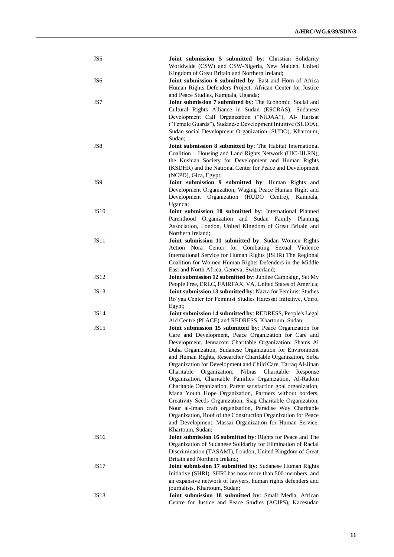| JS5             | Joint submission 5 submitted by: Christian Solidarity                                                                     |
|-----------------|---------------------------------------------------------------------------------------------------------------------------|
|                 | Worldwide (CSW) and CSW-Nigeria, New Malden, United                                                                       |
| JS <sub>6</sub> | Kingdom of Great Britain and Northern Ireland;<br>Joint submission 6 submitted by: East and Horn of Africa                |
|                 | Human Rights Defenders Project, African Center for Justice                                                                |
|                 | and Peace Studies, Kampala, Uganda;                                                                                       |
| JS7             | Joint submission 7 submitted by: The Economic, Social and                                                                 |
|                 | Cultural Rights Alliance in Sudan (ESCRAS), Sudanese                                                                      |
|                 | Development Call Organization ("NIDAA"), Al- Harisat                                                                      |
|                 | ("Female Guards"), Sudanese Development Intuitive (SUDIA),                                                                |
|                 | Sudan social Development Organization (SUDO), Khartoum,<br>Sudan;                                                         |
| JS8             | Joint submission 8 submitted by: The Habitat International                                                                |
|                 | Coalition - Housing and Land Rights Network (HIC-HLRN),                                                                   |
|                 | the Kushian Society for Development and Human Rights                                                                      |
|                 | (KSDHR) and the National Center for Peace and Development                                                                 |
|                 | (NCPD), Giza, Egypt;                                                                                                      |
| JS9             | Joint submission 9 submitted by: Human Rights and<br>Development Organization, Waging Peace Human Right and               |
|                 | Development<br>Organization (HUDO Centre), Kampala,                                                                       |
|                 | Uganda;                                                                                                                   |
| <b>JS10</b>     | Joint submission 10 submitted by: International Planned                                                                   |
|                 | Parenthood Organization and Sudan Family Planning                                                                         |
|                 | Association, London, United Kingdom of Great Britain and                                                                  |
| JS11            | Northern Ireland:<br>Joint submission 11 submitted by: Sudan Women Rights                                                 |
|                 | Action Nora Center for Combating Sexual<br>Violence                                                                       |
|                 | International Service for Human Rights (ISHR) The Regional                                                                |
|                 | Coalition for Women Human Rights Defenders in the Middle                                                                  |
|                 | East and North Africa, Geneva, Switzerland;                                                                               |
| <b>JS12</b>     | Joint submission 12 submitted by: Jubilee Campaign, Set My                                                                |
| <b>JS13</b>     | People Free, ERLC, FAIRFAX, VA, United States of America;<br>Joint submission 13 submitted by: Nazra for Feminist Studies |
|                 | Ro'yaa Center for Feminist Studies Haressat Initiative, Cairo,                                                            |
|                 | Egypt;                                                                                                                    |
| <b>JS14</b>     | Joint submission 14 submitted by: REDRESS, People's Legal                                                                 |
| <b>JS15</b>     | Aid Centre (PLACE) and REDRESS, Khartoum, Sudan;<br>Joint submission 15 submitted by: Peace Organization for              |
|                 | Care and Development, Peace Organization for Care and                                                                     |
|                 | Development, Jennacom Charitable Organization, Shams Al                                                                   |
|                 | Duha Organization, Sudanese Organization for Environment                                                                  |
|                 | and Human Rights, Researcher Charitable Organization, Sirba                                                               |
|                 | Organization for Development and Child Care, Tarraq Al-Jinan<br>Organization,<br>Charitable                               |
|                 | Nibras<br>Charitable<br>Response<br>Organization, Charitable Families Organization, Al-Radom                              |
|                 | Charitable Organization, Parent satisfaction goal organization,                                                           |
|                 | Mana Youth Hope Organization, Partners without borders,                                                                   |
|                 | Creativity Seeds Organization, Siag Charitable Organization,                                                              |
|                 | Nour al-Iman craft organization, Paradise Way Charitable                                                                  |
|                 | Organization, Roof of the Construction Organization for Peace                                                             |
|                 | and Development, Massai Organization for Human Service,<br>Khartoum, Sudan;                                               |
| JS16            | Joint submission 16 submitted by: Rights for Peace and The                                                                |
|                 | Organization of Sudanese Solidarity for Elimination of Racial                                                             |
|                 | Discrimination (TASAMI), London, United Kingdom of Great                                                                  |
|                 | Britain and Northern Ireland;                                                                                             |
| JS17            | Joint submission 17 submitted by: Sudanese Human Rights                                                                   |
|                 | Initiative (SHRI). SHRI has now more than 500 members, and<br>an expansive network of lawyers, human rights defenders and |
|                 | journalists, Khartoum, Sudan;                                                                                             |
| JS18            | Joint submission 18 submitted by: Small Media, African                                                                    |
|                 | Centre for Justice and Peace Studies (ACJPS), Kacesudan                                                                   |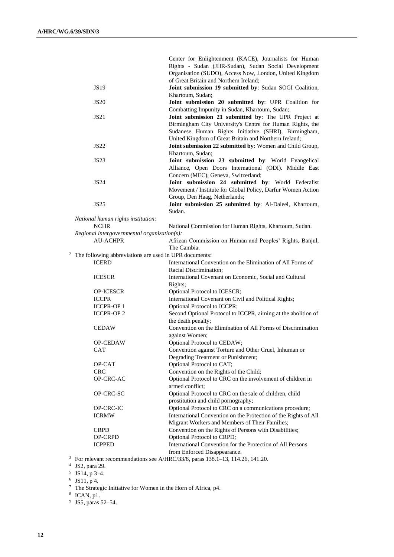|                                                                     | Center for Enlightenment (KACE), Journalists for Human                                |
|---------------------------------------------------------------------|---------------------------------------------------------------------------------------|
|                                                                     | Rights - Sudan (JHR-Sudan), Sudan Social Development                                  |
|                                                                     | Organisation (SUDO), Access Now, London, United Kingdom                               |
|                                                                     | of Great Britain and Northern Ireland:                                                |
| <b>JS19</b>                                                         | Joint submission 19 submitted by: Sudan SOGI Coalition,                               |
|                                                                     | Khartoum, Sudan;                                                                      |
| <b>JS20</b>                                                         | Joint submission 20 submitted by: UPR Coalition for                                   |
|                                                                     | Combatting Impunity in Sudan, Khartoum, Sudan;                                        |
| JS21                                                                | Joint submission 21 submitted by: The UPR Project at                                  |
|                                                                     | Birmingham City University's Centre for Human Rights, the                             |
|                                                                     | Sudanese Human Rights Initiative (SHRI), Birmingham,                                  |
|                                                                     | United Kingdom of Great Britain and Northern Ireland;                                 |
| <b>JS22</b>                                                         | Joint submission 22 submitted by: Women and Child Group,                              |
|                                                                     | Khartoum, Sudan;                                                                      |
| <b>JS23</b>                                                         | Joint submission 23 submitted by: World Evangelical                                   |
|                                                                     | Alliance, Open Doors International (ODI). Middle East                                 |
|                                                                     | Concern (MEC), Geneva, Switzerland;                                                   |
| <b>JS24</b>                                                         | Joint submission 24 submitted by: World Federalist                                    |
|                                                                     | Movement / Institute for Global Policy, Darfur Women Action                           |
|                                                                     | Group, Den Haag, Netherlands;                                                         |
| JS25                                                                | Joint submission 25 submitted by: Al-Daleel, Khartoum,                                |
|                                                                     | Sudan.                                                                                |
|                                                                     |                                                                                       |
| National human rights institution:<br><b>NCHR</b>                   | National Commission for Human Rights, Khartoum, Sudan.                                |
|                                                                     |                                                                                       |
| $Regional$ intergovernmental organization(s):<br><b>AU-ACHPR</b>    |                                                                                       |
|                                                                     | African Commission on Human and Peoples' Rights, Banjul,<br>The Gambia.               |
|                                                                     |                                                                                       |
| <sup>2</sup> The following abbreviations are used in UPR documents: |                                                                                       |
| <b>ICERD</b>                                                        | International Convention on the Elimination of All Forms of<br>Racial Discrimination; |
| <b>ICESCR</b>                                                       | International Covenant on Economic, Social and Cultural                               |
|                                                                     | Rights;                                                                               |
| OP-ICESCR                                                           | Optional Protocol to ICESCR;                                                          |
| <b>ICCPR</b>                                                        | International Covenant on Civil and Political Rights;                                 |
| <b>ICCPR-OP1</b>                                                    | Optional Protocol to ICCPR;                                                           |
| <b>ICCPR-OP2</b>                                                    | Second Optional Protocol to ICCPR, aiming at the abolition of                         |
|                                                                     | the death penalty;                                                                    |
| <b>CEDAW</b>                                                        | Convention on the Elimination of All Forms of Discrimination                          |
|                                                                     | against Women;                                                                        |
| <b>OP-CEDAW</b>                                                     | Optional Protocol to CEDAW;                                                           |
| CAT                                                                 | Convention against Torture and Other Cruel, Inhuman or                                |
|                                                                     | Degrading Treatment or Punishment;                                                    |
| OP-CAT                                                              | Optional Protocol to CAT;                                                             |
| <b>CRC</b>                                                          | Convention on the Rights of the Child;                                                |
| OP-CRC-AC                                                           | Optional Protocol to CRC on the involvement of children in                            |
|                                                                     | armed conflict;                                                                       |
| OP-CRC-SC                                                           | Optional Protocol to CRC on the sale of children, child                               |
|                                                                     | prostitution and child pornography;                                                   |
| OP-CRC-IC                                                           | Optional Protocol to CRC on a communications procedure;                               |
| <b>ICRMW</b>                                                        | International Convention on the Protection of the Rights of All                       |
|                                                                     | Migrant Workers and Members of Their Families;                                        |
| <b>CRPD</b>                                                         | Convention on the Rights of Persons with Disabilities;                                |
| <b>OP-CRPD</b>                                                      | Optional Protocol to CRPD;                                                            |
| <b>ICPPED</b>                                                       | International Convention for the Protection of All Persons                            |
|                                                                     | from Enforced Disappearance.                                                          |
|                                                                     |                                                                                       |

<sup>3</sup> For relevant recommendations see A/HRC/33/8, paras 138.1–13, 114.26, 141.20.<br>
<sup>4</sup> JS2, para 29.<br>
<sup>5</sup> JS14, p 3–4.<br>
<sup>6</sup> JS11, p 4.

<sup>7</sup> The Strategic Initiative for Women in the Horn of Africa, p4. 8 ICAN, p1. 9 JS5, paras 52–54.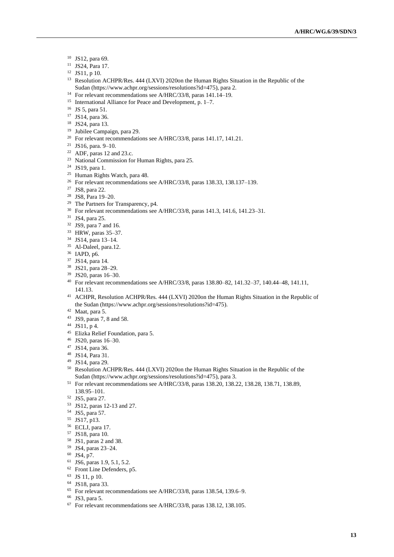- JS12, para 69.
- JS24, Para 17.
- JS11, p 10.
- <sup>13</sup> Resolution ACHPR/Res. 444 (LXVI) 2020on the Human Rights Situation in the Republic of the Sudan [\(https://www.achpr.org/sessions/resolutions?id=475\)](https://www.achpr.org/sessions/resolutions?id=475), para 2.
- For relevant recommendations see A/HRC/33/8, paras 141.14–19.
- International Alliance for Peace and Development, p. 1–7.
- JS 5, para 51.
- JS14, para 36.
- JS24, para 13.
- Jubilee Campaign, para 29.
- <sup>20</sup> For relevant recommendations see A/HRC/33/8, paras 141.17, 141.21.
- JS16, para. 9–10.
- ADF, paras 12 and 23.c.
- National Commission for Human Rights, para 25.
- JS19, para 1.
- Human Rights Watch, para 48.
- <sup>26</sup> For relevant recommendations see A/HRC/33/8, paras 138.33, 138.137–139.
- JS8, para 22.
- JS8, Para 19–20.
- <sup>29</sup> The Partners for Transparency, p4.
- For relevant recommendations see A/HRC/33/8, paras 141.3, 141.6, 141.23–31.
- JS4, para 25.
- JS9, para 7 and 16.
- HRW, paras 35–37.
- JS14, para 13–14.
- Al-Daleel, para.12.
- IAPD, p6.
- JS14, para 14.
- JS21, para 28–29.
- JS20, paras 16–30.
- For relevant recommendations see A/HRC/33/8, paras 138.80–82, 141.32–37, 140.44–48, 141.11, 141.13.
- ACHPR, Resolution ACHPR/Res. 444 (LXVI) 2020on the Human Rights Situation in the Republic of the Sudan [\(https://www.achpr.org/sessions/resolutions?id=475\)](https://www.achpr.org/sessions/resolutions?id=475).
- Maat, para 5.
- JS9, paras 7, 8 and 58.
- JS11, p 4.
- Elizka Relief Foundation, para 5.
- JS20, paras 16–30.
- JS14, para 36.
- JS14, Para 31.
- JS14, para 29.
- Resolution ACHPR/Res. 444 (LXVI) 2020on the Human Rights Situation in the Republic of the Sudan [\(https://www.achpr.org/sessions/resolutions?id=475\)](https://www.achpr.org/sessions/resolutions?id=475), para 3.
- For relevant recommendations see A/HRC/33/8, paras 138.20, 138.22, 138.28, 138.71, 138.89, 138.95–101.
- JS5, para 27.
- JS12, paras 12-13 and 27.
- JS5, para 57.
- JS17, p13.
- ECLJ, para 17.
- JS18, para 10.
- JS1, paras 2 and 38.
- JS4, paras 23–24.
- JS4, p7.
- JS6, paras 1.9, 5.1, 5.2.
- Front Line Defenders, p5.
- JS 11, p 10.
- JS18, para 33.
- For relevant recommendations see A/HRC/33/8, paras 138.54, 139.6–9.
- JS3, para 5.
- For relevant recommendations see A/HRC/33/8, paras 138.12, 138.105.